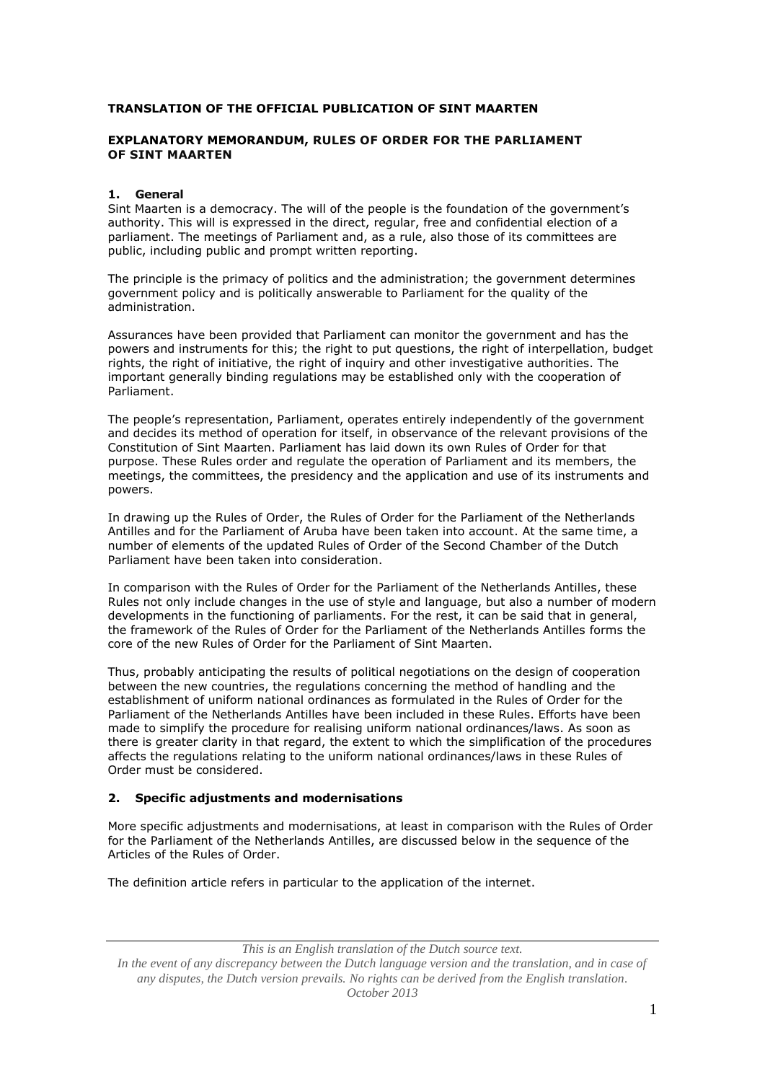# **TRANSLATION OF THE OFFICIAL PUBLICATION OF SINT MAARTEN**

# **EXPLANATORY MEMORANDUM, RULES OF ORDER FOR THE PARLIAMENT OF SINT MAARTEN**

## **1. General**

Sint Maarten is a democracy. The will of the people is the foundation of the government's authority. This will is expressed in the direct, regular, free and confidential election of a parliament. The meetings of Parliament and, as a rule, also those of its committees are public, including public and prompt written reporting.

The principle is the primacy of politics and the administration; the government determines government policy and is politically answerable to Parliament for the quality of the administration.

Assurances have been provided that Parliament can monitor the government and has the powers and instruments for this; the right to put questions, the right of interpellation, budget rights, the right of initiative, the right of inquiry and other investigative authorities. The important generally binding regulations may be established only with the cooperation of Parliament.

The people's representation, Parliament, operates entirely independently of the government and decides its method of operation for itself, in observance of the relevant provisions of the Constitution of Sint Maarten. Parliament has laid down its own Rules of Order for that purpose. These Rules order and regulate the operation of Parliament and its members, the meetings, the committees, the presidency and the application and use of its instruments and powers.

In drawing up the Rules of Order, the Rules of Order for the Parliament of the Netherlands Antilles and for the Parliament of Aruba have been taken into account. At the same time, a number of elements of the updated Rules of Order of the Second Chamber of the Dutch Parliament have been taken into consideration.

In comparison with the Rules of Order for the Parliament of the Netherlands Antilles, these Rules not only include changes in the use of style and language, but also a number of modern developments in the functioning of parliaments. For the rest, it can be said that in general, the framework of the Rules of Order for the Parliament of the Netherlands Antilles forms the core of the new Rules of Order for the Parliament of Sint Maarten.

Thus, probably anticipating the results of political negotiations on the design of cooperation between the new countries, the regulations concerning the method of handling and the establishment of uniform national ordinances as formulated in the Rules of Order for the Parliament of the Netherlands Antilles have been included in these Rules. Efforts have been made to simplify the procedure for realising uniform national ordinances/laws. As soon as there is greater clarity in that regard, the extent to which the simplification of the procedures affects the regulations relating to the uniform national ordinances/laws in these Rules of Order must be considered.

# **2. Specific adjustments and modernisations**

More specific adjustments and modernisations, at least in comparison with the Rules of Order for the Parliament of the Netherlands Antilles, are discussed below in the sequence of the Articles of the Rules of Order.

The definition article refers in particular to the application of the internet.

*This is an English translation of the Dutch source text. In the event of any discrepancy between the Dutch language version and the translation, and in case of any disputes, the Dutch version prevails. No rights can be derived from the English translation. October 2013*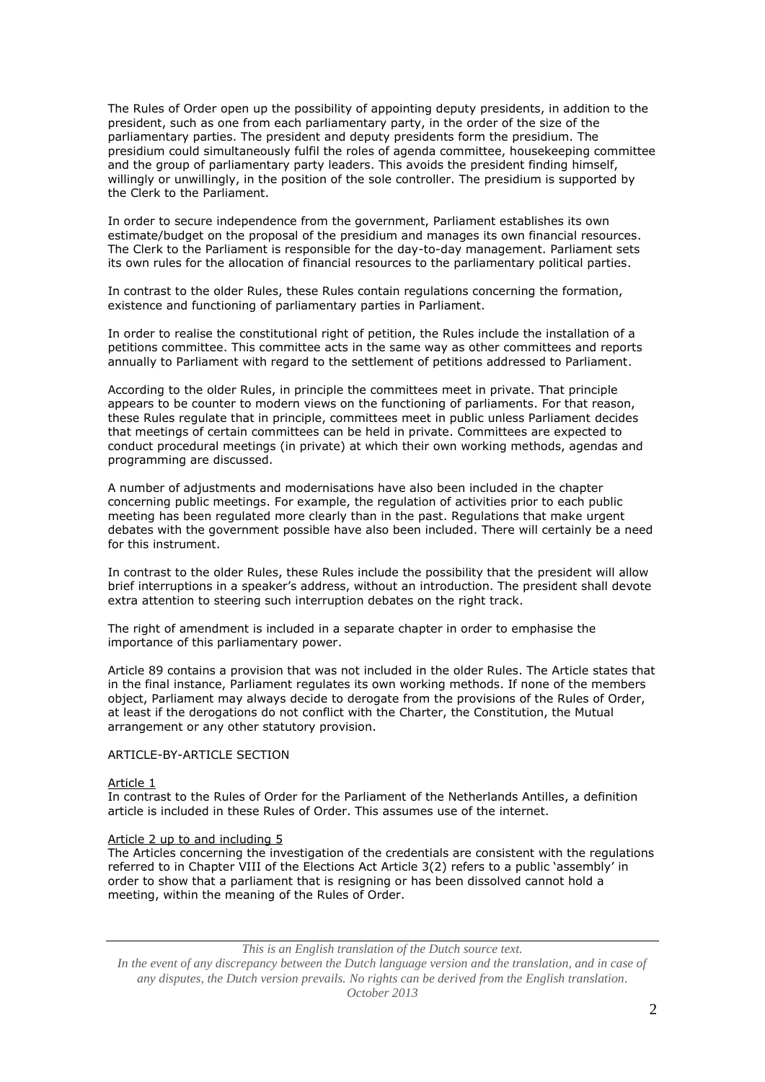The Rules of Order open up the possibility of appointing deputy presidents, in addition to the president, such as one from each parliamentary party, in the order of the size of the parliamentary parties. The president and deputy presidents form the presidium. The presidium could simultaneously fulfil the roles of agenda committee, housekeeping committee and the group of parliamentary party leaders. This avoids the president finding himself, willingly or unwillingly, in the position of the sole controller. The presidium is supported by the Clerk to the Parliament.

In order to secure independence from the government, Parliament establishes its own estimate/budget on the proposal of the presidium and manages its own financial resources. The Clerk to the Parliament is responsible for the day-to-day management. Parliament sets its own rules for the allocation of financial resources to the parliamentary political parties.

In contrast to the older Rules, these Rules contain regulations concerning the formation, existence and functioning of parliamentary parties in Parliament.

In order to realise the constitutional right of petition, the Rules include the installation of a petitions committee. This committee acts in the same way as other committees and reports annually to Parliament with regard to the settlement of petitions addressed to Parliament.

According to the older Rules, in principle the committees meet in private. That principle appears to be counter to modern views on the functioning of parliaments. For that reason, these Rules regulate that in principle, committees meet in public unless Parliament decides that meetings of certain committees can be held in private. Committees are expected to conduct procedural meetings (in private) at which their own working methods, agendas and programming are discussed.

A number of adjustments and modernisations have also been included in the chapter concerning public meetings. For example, the regulation of activities prior to each public meeting has been regulated more clearly than in the past. Regulations that make urgent debates with the government possible have also been included. There will certainly be a need for this instrument.

In contrast to the older Rules, these Rules include the possibility that the president will allow brief interruptions in a speaker's address, without an introduction. The president shall devote extra attention to steering such interruption debates on the right track.

The right of amendment is included in a separate chapter in order to emphasise the importance of this parliamentary power.

Article 89 contains a provision that was not included in the older Rules. The Article states that in the final instance, Parliament regulates its own working methods. If none of the members object, Parliament may always decide to derogate from the provisions of the Rules of Order, at least if the derogations do not conflict with the Charter, the Constitution, the Mutual arrangement or any other statutory provision.

## ARTICLE-BY-ARTICLE SECTION

#### Article 1

In contrast to the Rules of Order for the Parliament of the Netherlands Antilles, a definition article is included in these Rules of Order. This assumes use of the internet.

#### Article 2 up to and including 5

The Articles concerning the investigation of the credentials are consistent with the regulations referred to in Chapter VIII of the Elections Act Article 3(2) refers to a public 'assembly' in order to show that a parliament that is resigning or has been dissolved cannot hold a meeting, within the meaning of the Rules of Order.

*This is an English translation of the Dutch source text.*

*In the event of any discrepancy between the Dutch language version and the translation, and in case of any disputes, the Dutch version prevails. No rights can be derived from the English translation. October 2013*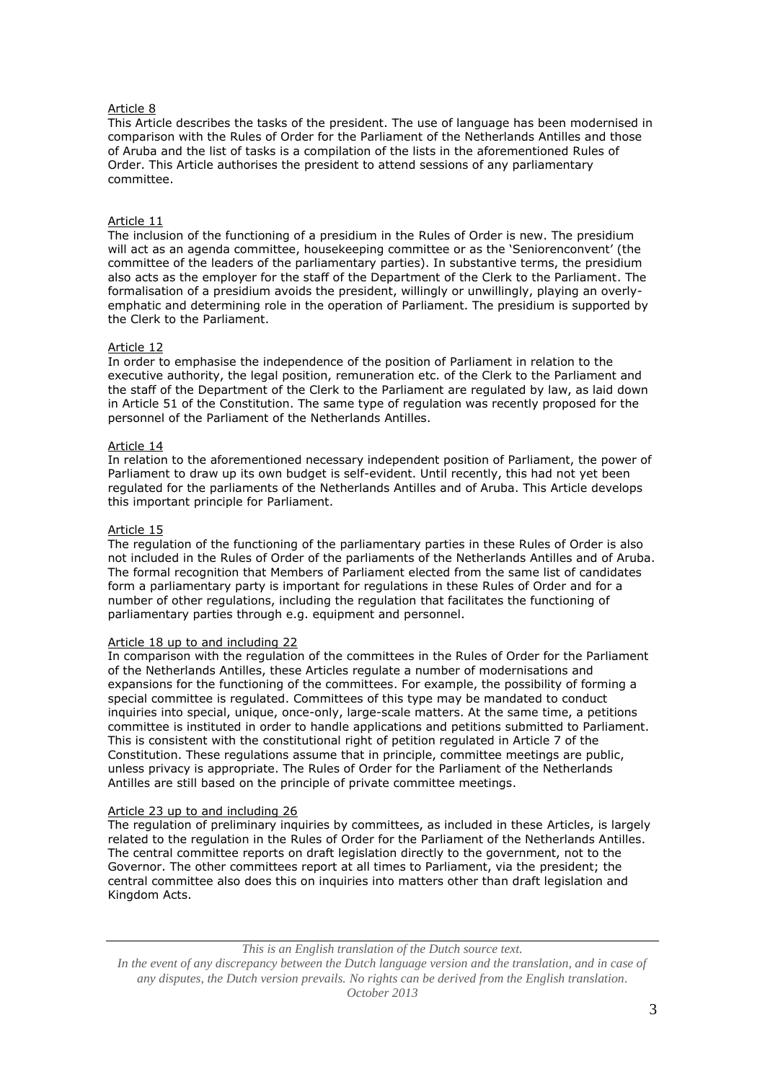# Article 8

This Article describes the tasks of the president. The use of language has been modernised in comparison with the Rules of Order for the Parliament of the Netherlands Antilles and those of Aruba and the list of tasks is a compilation of the lists in the aforementioned Rules of Order. This Article authorises the president to attend sessions of any parliamentary committee.

# Article 11

The inclusion of the functioning of a presidium in the Rules of Order is new. The presidium will act as an agenda committee, housekeeping committee or as the 'Seniorenconvent' (the committee of the leaders of the parliamentary parties). In substantive terms, the presidium also acts as the employer for the staff of the Department of the Clerk to the Parliament. The formalisation of a presidium avoids the president, willingly or unwillingly, playing an overlyemphatic and determining role in the operation of Parliament. The presidium is supported by the Clerk to the Parliament.

## Article 12

In order to emphasise the independence of the position of Parliament in relation to the executive authority, the legal position, remuneration etc. of the Clerk to the Parliament and the staff of the Department of the Clerk to the Parliament are regulated by law, as laid down in Article 51 of the Constitution. The same type of regulation was recently proposed for the personnel of the Parliament of the Netherlands Antilles.

# Article 14

In relation to the aforementioned necessary independent position of Parliament, the power of Parliament to draw up its own budget is self-evident. Until recently, this had not yet been regulated for the parliaments of the Netherlands Antilles and of Aruba. This Article develops this important principle for Parliament.

## Article 15

The regulation of the functioning of the parliamentary parties in these Rules of Order is also not included in the Rules of Order of the parliaments of the Netherlands Antilles and of Aruba. The formal recognition that Members of Parliament elected from the same list of candidates form a parliamentary party is important for regulations in these Rules of Order and for a number of other regulations, including the regulation that facilitates the functioning of parliamentary parties through e.g. equipment and personnel.

## Article 18 up to and including 22

In comparison with the regulation of the committees in the Rules of Order for the Parliament of the Netherlands Antilles, these Articles regulate a number of modernisations and expansions for the functioning of the committees. For example, the possibility of forming a special committee is regulated. Committees of this type may be mandated to conduct inquiries into special, unique, once-only, large-scale matters. At the same time, a petitions committee is instituted in order to handle applications and petitions submitted to Parliament. This is consistent with the constitutional right of petition regulated in Article 7 of the Constitution. These regulations assume that in principle, committee meetings are public, unless privacy is appropriate. The Rules of Order for the Parliament of the Netherlands Antilles are still based on the principle of private committee meetings.

## Article 23 up to and including 26

The regulation of preliminary inquiries by committees, as included in these Articles, is largely related to the regulation in the Rules of Order for the Parliament of the Netherlands Antilles. The central committee reports on draft legislation directly to the government, not to the Governor. The other committees report at all times to Parliament, via the president; the central committee also does this on inquiries into matters other than draft legislation and Kingdom Acts.

*This is an English translation of the Dutch source text. In the event of any discrepancy between the Dutch language version and the translation, and in case of any disputes, the Dutch version prevails. No rights can be derived from the English translation. October 2013*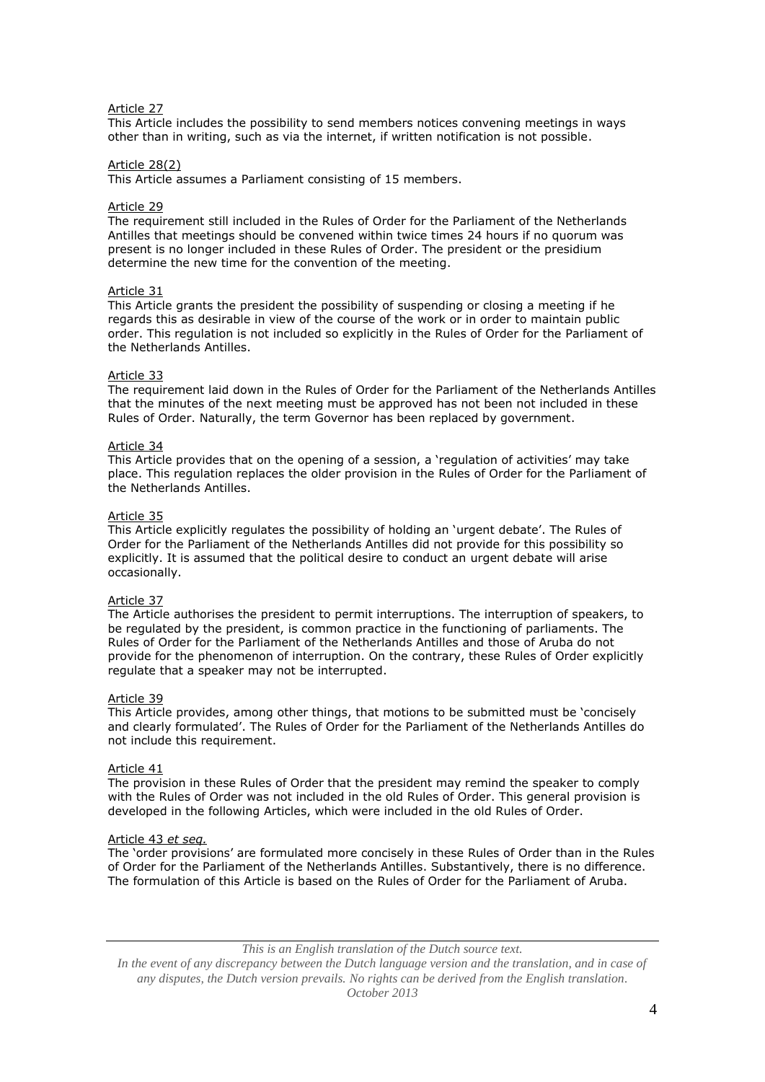# Article 27

This Article includes the possibility to send members notices convening meetings in ways other than in writing, such as via the internet, if written notification is not possible.

## Article 28(2)

This Article assumes a Parliament consisting of 15 members.

#### Article 29

The requirement still included in the Rules of Order for the Parliament of the Netherlands Antilles that meetings should be convened within twice times 24 hours if no quorum was present is no longer included in these Rules of Order. The president or the presidium determine the new time for the convention of the meeting.

## Article 31

This Article grants the president the possibility of suspending or closing a meeting if he regards this as desirable in view of the course of the work or in order to maintain public order. This regulation is not included so explicitly in the Rules of Order for the Parliament of the Netherlands Antilles.

## Article 33

The requirement laid down in the Rules of Order for the Parliament of the Netherlands Antilles that the minutes of the next meeting must be approved has not been not included in these Rules of Order. Naturally, the term Governor has been replaced by government.

## Article 34

This Article provides that on the opening of a session, a 'regulation of activities' may take place. This regulation replaces the older provision in the Rules of Order for the Parliament of the Netherlands Antilles.

## Article 35

This Article explicitly regulates the possibility of holding an 'urgent debate'. The Rules of Order for the Parliament of the Netherlands Antilles did not provide for this possibility so explicitly. It is assumed that the political desire to conduct an urgent debate will arise occasionally.

## Article 37

The Article authorises the president to permit interruptions. The interruption of speakers, to be regulated by the president, is common practice in the functioning of parliaments. The Rules of Order for the Parliament of the Netherlands Antilles and those of Aruba do not provide for the phenomenon of interruption. On the contrary, these Rules of Order explicitly regulate that a speaker may not be interrupted.

#### Article 39

This Article provides, among other things, that motions to be submitted must be 'concisely and clearly formulated'. The Rules of Order for the Parliament of the Netherlands Antilles do not include this requirement.

#### Article 41

The provision in these Rules of Order that the president may remind the speaker to comply with the Rules of Order was not included in the old Rules of Order. This general provision is developed in the following Articles, which were included in the old Rules of Order.

#### Article 43 *et seq.*

The 'order provisions' are formulated more concisely in these Rules of Order than in the Rules of Order for the Parliament of the Netherlands Antilles. Substantively, there is no difference. The formulation of this Article is based on the Rules of Order for the Parliament of Aruba.

*This is an English translation of the Dutch source text.*

*In the event of any discrepancy between the Dutch language version and the translation, and in case of any disputes, the Dutch version prevails. No rights can be derived from the English translation. October 2013*